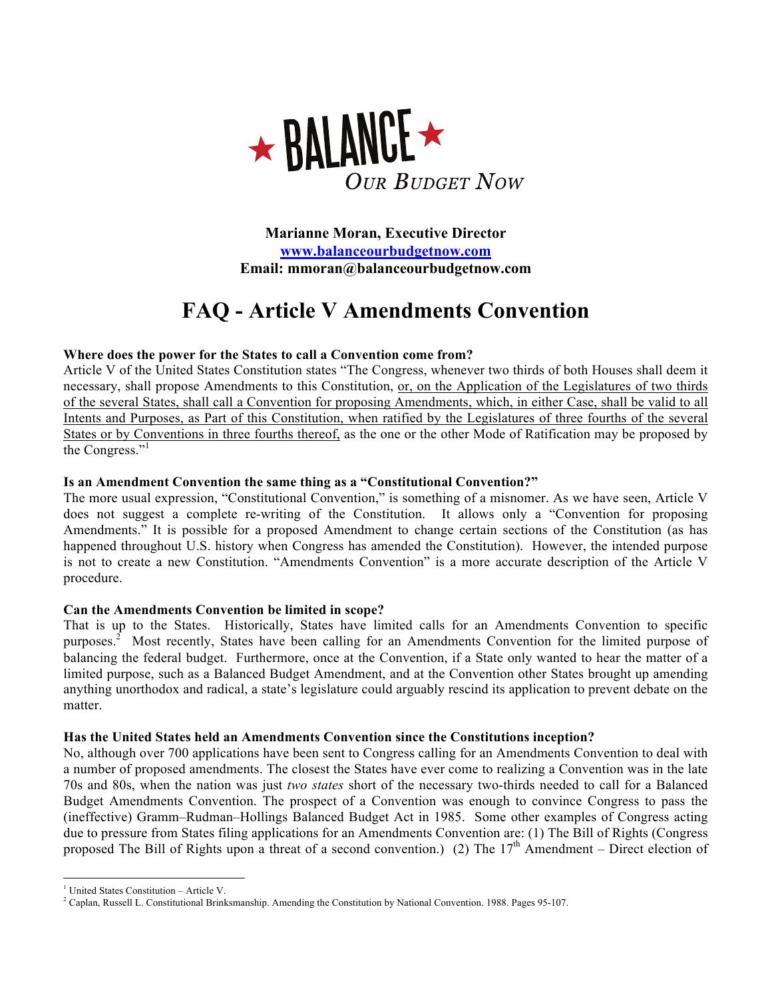

**Marianne Moran, Executive Director www.balanceourbudgetnow.com Email: mmoran@balanceourbudgetnow.com**

# **FAQ - Article V Amendments Convention**

## **Where does the power for the States to call a Convention come from?**

Article V of the United States Constitution states "The Congress, whenever two thirds of both Houses shall deem it necessary, shall propose Amendments to this Constitution, or, on the Application of the Legislatures of two thirds of the several States, shall call a Convention for proposing Amendments, which, in either Case, shall be valid to all Intents and Purposes, as Part of this Constitution, when ratified by the Legislatures of three fourths of the several States or by Conventions in three fourths thereof, as the one or the other Mode of Ratification may be proposed by the Congress."

## **Is an Amendment Convention the same thing as a "Constitutional Convention?"**

The more usual expression, "Constitutional Convention," is something of a misnomer. As we have seen, Article V does not suggest a complete re-writing of the Constitution. It allows only a "Convention for proposing Amendments." It is possible for a proposed Amendment to change certain sections of the Constitution (as has happened throughout U.S. history when Congress has amended the Constitution). However, the intended purpose is not to create a new Constitution. "Amendments Convention" is a more accurate description of the Article V procedure.

## **Can the Amendments Convention be limited in scope?**

That is up to the States. Historically, States have limited calls for an Amendments Convention to specific purposes.<sup>2</sup> Most recently, States have been calling for an Amendments Convention for the limited purpose of balancing the federal budget. Furthermore, once at the Convention, if a State only wanted to hear the matter of a limited purpose, such as a Balanced Budget Amendment, and at the Convention other States brought up amending anything unorthodox and radical, a state's legislature could arguably rescind its application to prevent debate on the matter.

## **Has the United States held an Amendments Convention since the Constitutions inception?**

No, although over 700 applications have been sent to Congress calling for an Amendments Convention to deal with a number of proposed amendments. The closest the States have ever come to realizing a Convention was in the late 70s and 80s, when the nation was just *two states* short of the necessary two-thirds needed to call for a Balanced Budget Amendments Convention. The prospect of a Convention was enough to convince Congress to pass the (ineffective) Gramm–Rudman–Hollings Balanced Budget Act in 1985. Some other examples of Congress acting due to pressure from States filing applications for an Amendments Convention are: (1) The Bill of Rights (Congress proposed The Bill of Rights upon a threat of a second convention.) (2) The  $17<sup>th</sup>$  Amendment – Direct election of

 $\frac{1}{1}$ <sup>1</sup> United States Constitution – Article V.

<sup>&</sup>lt;sup>2</sup> Caplan, Russell L. Constitutional Brinksmanship. Amending the Constitution by National Convention. 1988. Pages 95-107.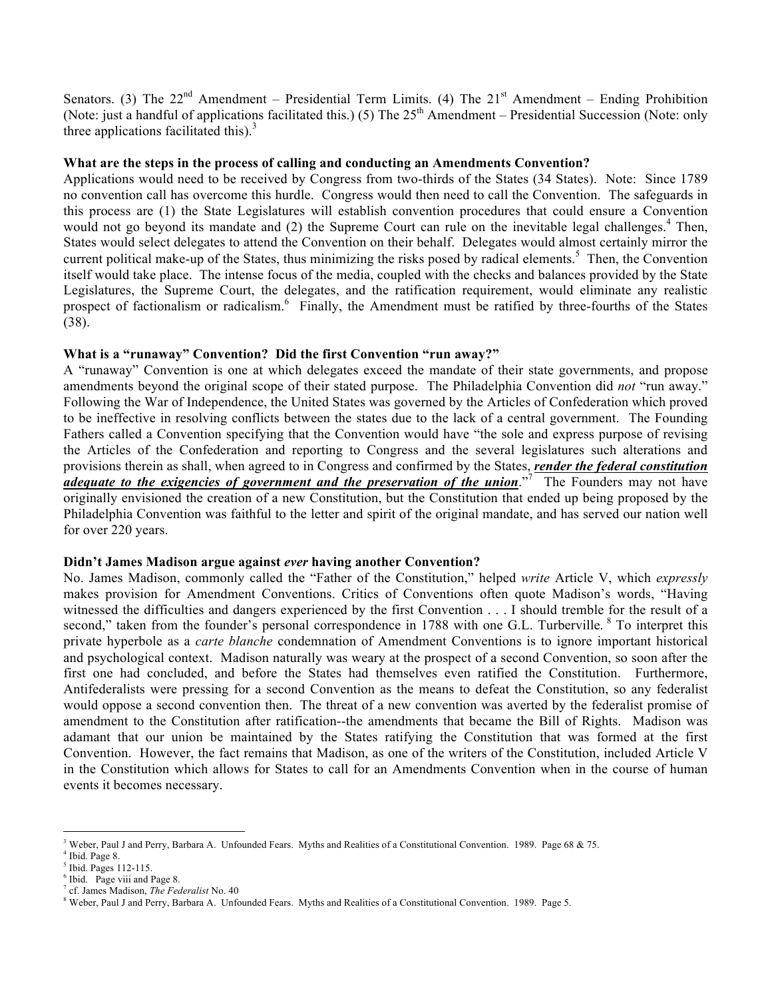Senators. (3) The  $22^{nd}$  Amendment – Presidential Term Limits. (4) The  $21^{st}$  Amendment – Ending Prohibition (Note: just a handful of applications facilitated this.) (5) The  $25<sup>th</sup>$  Amendment – Presidential Succession (Note: only three applications facilitated this). 3

#### **What are the steps in the process of calling and conducting an Amendments Convention?**

Applications would need to be received by Congress from two-thirds of the States (34 States). Note: Since 1789 no convention call has overcome this hurdle. Congress would then need to call the Convention. The safeguards in this process are (1) the State Legislatures will establish convention procedures that could ensure a Convention would not go beyond its mandate and (2) the Supreme Court can rule on the inevitable legal challenges.<sup>4</sup> Then, States would select delegates to attend the Convention on their behalf. Delegates would almost certainly mirror the current political make-up of the States, thus minimizing the risks posed by radical elements.<sup>5</sup> Then, the Convention itself would take place. The intense focus of the media, coupled with the checks and balances provided by the State Legislatures, the Supreme Court, the delegates, and the ratification requirement, would eliminate any realistic prospect of factionalism or radicalism.<sup>6</sup> Finally, the Amendment must be ratified by three-fourths of the States (38).

# **What is a "runaway" Convention? Did the first Convention "run away?"**

A "runaway" Convention is one at which delegates exceed the mandate of their state governments, and propose amendments beyond the original scope of their stated purpose. The Philadelphia Convention did *not* "run away." Following the War of Independence, the United States was governed by the Articles of Confederation which proved to be ineffective in resolving conflicts between the states due to the lack of a central government. The Founding Fathers called a Convention specifying that the Convention would have "the sole and express purpose of revising the Articles of the Confederation and reporting to Congress and the several legislatures such alterations and provisions therein as shall, when agreed to in Congress and confirmed by the States, *render the federal constitution adequate to the exigencies of government and the preservation of the union*."<sup>7</sup> The Founders may not have originally envisioned the creation of a new Constitution, but the Constitution that ended up being proposed by the Philadelphia Convention was faithful to the letter and spirit of the original mandate, and has served our nation well for over 220 years.

## **Didn't James Madison argue against** *ever* **having another Convention?**

No. James Madison, commonly called the "Father of the Constitution," helped *write* Article V, which *expressly* makes provision for Amendment Conventions. Critics of Conventions often quote Madison's words, "Having witnessed the difficulties and dangers experienced by the first Convention . . . I should tremble for the result of a second," taken from the founder's personal correspondence in 1788 with one G.L. Turberville. <sup>8</sup> To interpret this private hyperbole as a *carte blanche* condemnation of Amendment Conventions is to ignore important historical and psychological context. Madison naturally was weary at the prospect of a second Convention, so soon after the first one had concluded, and before the States had themselves even ratified the Constitution. Furthermore, Antifederalists were pressing for a second Convention as the means to defeat the Constitution, so any federalist would oppose a second convention then. The threat of a new convention was averted by the federalist promise of amendment to the Constitution after ratification--the amendments that became the Bill of Rights. Madison was adamant that our union be maintained by the States ratifying the Constitution that was formed at the first Convention. However, the fact remains that Madison, as one of the writers of the Constitution, included Article V in the Constitution which allows for States to call for an Amendments Convention when in the course of human events it becomes necessary.

 $\frac{1}{3}$ <sup>3</sup> Weber, Paul J and Perry, Barbara A. Unfounded Fears. Myths and Realities of a Constitutional Convention. 1989. Page 68 & 75.

<sup>4</sup> Ibid. Page 8.

<sup>5</sup> Ibid. Pages 112-115.

 $6$  Ibid. Page viii and Page 8.

<sup>7</sup> cf. James Madison, *The Federalist* No. 40

<sup>&</sup>lt;sup>8</sup> Weber, Paul J and Perry, Barbara A. Unfounded Fears. Myths and Realities of a Constitutional Convention. 1989. Page 5.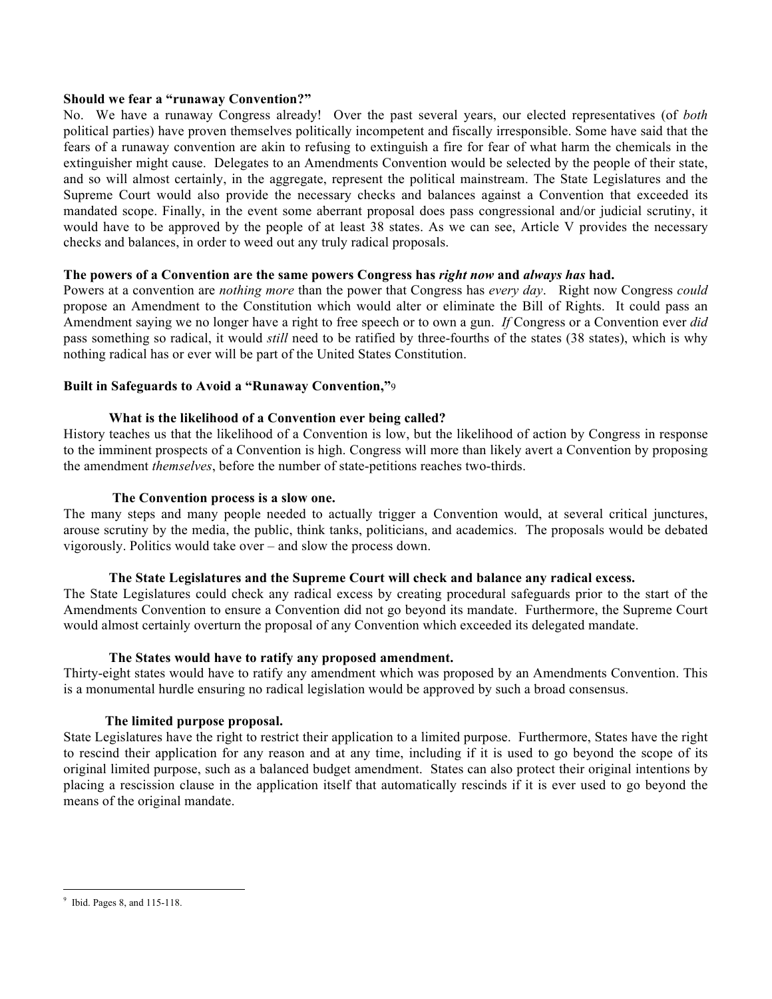#### **Should we fear a "runaway Convention?"**

No. We have a runaway Congress already! Over the past several years, our elected representatives (of *both* political parties) have proven themselves politically incompetent and fiscally irresponsible. Some have said that the fears of a runaway convention are akin to refusing to extinguish a fire for fear of what harm the chemicals in the extinguisher might cause. Delegates to an Amendments Convention would be selected by the people of their state, and so will almost certainly, in the aggregate, represent the political mainstream. The State Legislatures and the Supreme Court would also provide the necessary checks and balances against a Convention that exceeded its mandated scope. Finally, in the event some aberrant proposal does pass congressional and/or judicial scrutiny, it would have to be approved by the people of at least 38 states. As we can see, Article V provides the necessary checks and balances, in order to weed out any truly radical proposals.

## **The powers of a Convention are the same powers Congress has** *right now* **and** *always has* **had.**

Powers at a convention are *nothing more* than the power that Congress has *every day*. Right now Congress *could* propose an Amendment to the Constitution which would alter or eliminate the Bill of Rights. It could pass an Amendment saying we no longer have a right to free speech or to own a gun. *If* Congress or a Convention ever *did* pass something so radical, it would *still* need to be ratified by three-fourths of the states (38 states), which is why nothing radical has or ever will be part of the United States Constitution.

# **Built in Safeguards to Avoid a "Runaway Convention,"**9

## **What is the likelihood of a Convention ever being called?**

History teaches us that the likelihood of a Convention is low, but the likelihood of action by Congress in response to the imminent prospects of a Convention is high. Congress will more than likely avert a Convention by proposing the amendment *themselves*, before the number of state-petitions reaches two-thirds.

## **The Convention process is a slow one.**

The many steps and many people needed to actually trigger a Convention would, at several critical junctures, arouse scrutiny by the media, the public, think tanks, politicians, and academics. The proposals would be debated vigorously. Politics would take over – and slow the process down.

## **The State Legislatures and the Supreme Court will check and balance any radical excess.**

The State Legislatures could check any radical excess by creating procedural safeguards prior to the start of the Amendments Convention to ensure a Convention did not go beyond its mandate. Furthermore, the Supreme Court would almost certainly overturn the proposal of any Convention which exceeded its delegated mandate.

## **The States would have to ratify any proposed amendment.**

Thirty-eight states would have to ratify any amendment which was proposed by an Amendments Convention. This is a monumental hurdle ensuring no radical legislation would be approved by such a broad consensus.

# **The limited purpose proposal.**

State Legislatures have the right to restrict their application to a limited purpose. Furthermore, States have the right to rescind their application for any reason and at any time, including if it is used to go beyond the scope of its original limited purpose, such as a balanced budget amendment. States can also protect their original intentions by placing a rescission clause in the application itself that automatically rescinds if it is ever used to go beyond the means of the original mandate.

 $9$  Ibid. Pages 8, and 115-118.